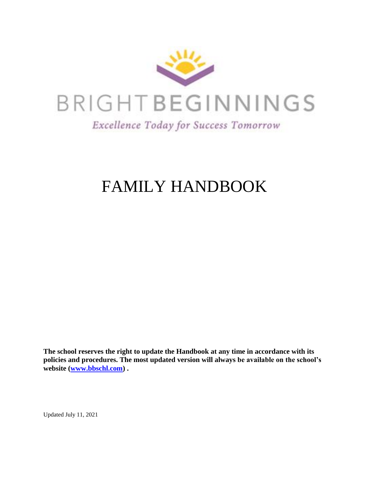

# FAMILY HANDBOOK

**The school reserves the right to update the Handbook at any time in accordance with its policies and procedures. The most updated version will always be available on the school's website [\(www.bbschl.com\)](http://www.bbschl.com/) .**

Updated July 11, 2021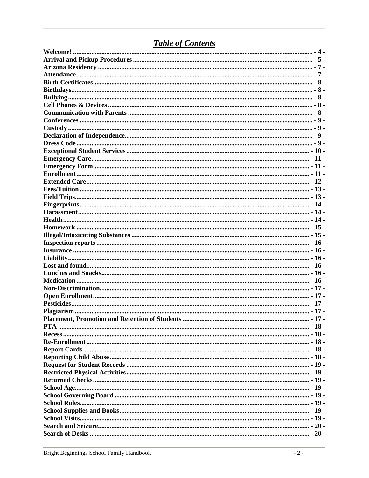# **Table of Contents**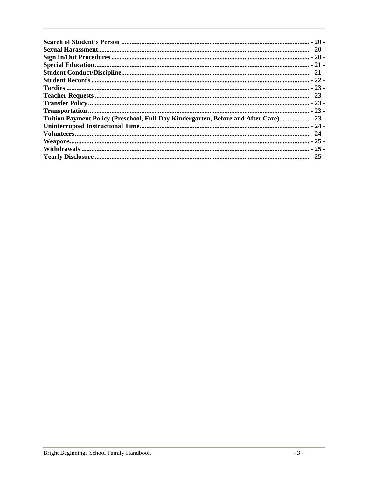| Tuition Payment Policy (Preschool, Full-Day Kindergarten, Before and After Care) - 23 - |  |
|-----------------------------------------------------------------------------------------|--|
|                                                                                         |  |
|                                                                                         |  |
|                                                                                         |  |
|                                                                                         |  |
|                                                                                         |  |
|                                                                                         |  |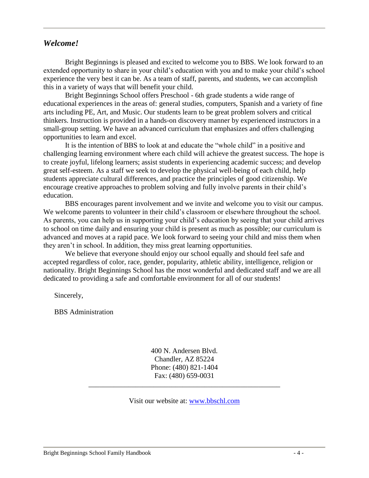#### <span id="page-3-0"></span>*Welcome!*

Bright Beginnings is pleased and excited to welcome you to BBS. We look forward to an extended opportunity to share in your child's education with you and to make your child's school experience the very best it can be. As a team of staff, parents, and students, we can accomplish this in a variety of ways that will benefit your child.

Bright Beginnings School offers Preschool - 6th grade students a wide range of educational experiences in the areas of: general studies, computers, Spanish and a variety of fine arts including PE, Art, and Music. Our students learn to be great problem solvers and critical thinkers. Instruction is provided in a hands-on discovery manner by experienced instructors in a small-group setting. We have an advanced curriculum that emphasizes and offers challenging opportunities to learn and excel.

It is the intention of BBS to look at and educate the "whole child" in a positive and challenging learning environment where each child will achieve the greatest success. The hope is to create joyful, lifelong learners; assist students in experiencing academic success; and develop great self-esteem. As a staff we seek to develop the physical well-being of each child, help students appreciate cultural differences, and practice the principles of good citizenship. We encourage creative approaches to problem solving and fully involve parents in their child's education.

BBS encourages parent involvement and we invite and welcome you to visit our campus. We welcome parents to volunteer in their child's classroom or elsewhere throughout the school. As parents, you can help us in supporting your child's education by seeing that your child arrives to school on time daily and ensuring your child is present as much as possible; our curriculum is advanced and moves at a rapid pace. We look forward to seeing your child and miss them when they aren't in school. In addition, they miss great learning opportunities.

We believe that everyone should enjoy our school equally and should feel safe and accepted regardless of color, race, gender, popularity, athletic ability, intelligence, religion or nationality. Bright Beginnings School has the most wonderful and dedicated staff and we are all dedicated to providing a safe and comfortable environment for all of our students!

Sincerely,

BBS Administration

400 N. Andersen Blvd. Chandler, AZ 85224 Phone: (480) 821-1404 Fax: (480) 659-0031

Visit our website at: [www.bbschl.com](http://www.bbschl.com/)

\_\_\_\_\_\_\_\_\_\_\_\_\_\_\_\_\_\_\_\_\_\_\_\_\_\_\_\_\_\_\_\_\_\_\_\_\_\_\_\_\_\_\_\_\_\_\_\_\_\_\_\_\_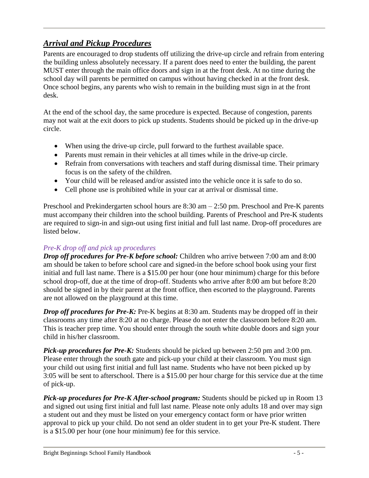# <span id="page-4-0"></span>*Arrival and Pickup Procedures*

Parents are encouraged to drop students off utilizing the drive-up circle and refrain from entering the building unless absolutely necessary. If a parent does need to enter the building, the parent MUST enter through the main office doors and sign in at the front desk. At no time during the school day will parents be permitted on campus without having checked in at the front desk. Once school begins, any parents who wish to remain in the building must sign in at the front desk.

At the end of the school day, the same procedure is expected. Because of congestion, parents may not wait at the exit doors to pick up students. Students should be picked up in the drive-up circle.

- When using the drive-up circle, pull forward to the furthest available space.
- Parents must remain in their vehicles at all times while in the drive-up circle.
- Refrain from conversations with teachers and staff during dismissal time. Their primary focus is on the safety of the children.
- Your child will be released and/or assisted into the vehicle once it is safe to do so.
- Cell phone use is prohibited while in your car at arrival or dismissal time.

Preschool and Prekindergarten school hours are 8:30 am – 2:50 pm. Preschool and Pre-K parents must accompany their children into the school building. Parents of Preschool and Pre-K students are required to sign-in and sign-out using first initial and full last name. Drop-off procedures are listed below.

#### *Pre-K drop off and pick up procedures*

*Drop off procedures for Pre-K before school:* Children who arrive between 7:00 am and 8:00 am should be taken to before school care and signed-in the before school book using your first initial and full last name. There is a \$15.00 per hour (one hour minimum) charge for this before school drop-off, due at the time of drop-off. Students who arrive after 8:00 am but before 8:20 should be signed in by their parent at the front office, then escorted to the playground. Parents are not allowed on the playground at this time.

*Drop off procedures for Pre-K:* Pre-K begins at 8:30 am. Students may be dropped off in their classrooms any time after 8:20 at no charge. Please do not enter the classroom before 8:20 am. This is teacher prep time. You should enter through the south white double doors and sign your child in his/her classroom.

*Pick-up procedures for Pre-K:* Students should be picked up between 2:50 pm and 3:00 pm. Please enter through the south gate and pick-up your child at their classroom. You must sign your child out using first initial and full last name. Students who have not been picked up by 3:05 will be sent to afterschool. There is a \$15.00 per hour charge for this service due at the time of pick-up.

*Pick-up procedures for Pre-K After-school program:* Students should be picked up in Room 13 and signed out using first initial and full last name. Please note only adults 18 and over may sign a student out and they must be listed on your emergency contact form or have prior written approval to pick up your child. Do not send an older student in to get your Pre-K student. There is a \$15.00 per hour (one hour minimum) fee for this service.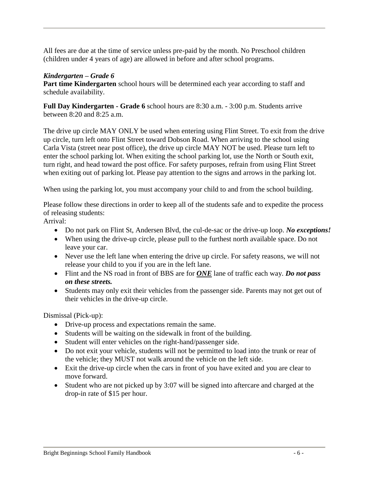All fees are due at the time of service unless pre-paid by the month. No Preschool children (children under 4 years of age) are allowed in before and after school programs.

#### *Kindergarten – Grade 6*

**Part time Kindergarten** school hours will be determined each year according to staff and schedule availability.

**Full Day Kindergarten - Grade 6** school hours are 8:30 a.m. - 3:00 p.m. Students arrive between 8:20 and 8:25 a.m.

The drive up circle MAY ONLY be used when entering using Flint Street. To exit from the drive up circle, turn left onto Flint Street toward Dobson Road. When arriving to the school using Carla Vista (street near post office), the drive up circle MAY NOT be used. Please turn left to enter the school parking lot. When exiting the school parking lot, use the North or South exit, turn right, and head toward the post office. For safety purposes, refrain from using Flint Street when exiting out of parking lot. Please pay attention to the signs and arrows in the parking lot.

When using the parking lot, you must accompany your child to and from the school building.

Please follow these directions in order to keep all of the students safe and to expedite the process of releasing students:

Arrival:

- Do not park on Flint St, Andersen Blvd, the cul-de-sac or the drive-up loop. *No exceptions!*
- When using the drive-up circle, please pull to the furthest north available space. Do not leave your car.
- Never use the left lane when entering the drive up circle. For safety reasons, we will not release your child to you if you are in the left lane.
- Flint and the NS road in front of BBS are for *ONE* lane of traffic each way. *Do not pass on these streets.*
- Students may only exit their vehicles from the passenger side. Parents may not get out of their vehicles in the drive-up circle.

Dismissal (Pick-up):

- Drive-up process and expectations remain the same.
- Students will be waiting on the sidewalk in front of the building.
- Student will enter vehicles on the right-hand/passenger side.
- Do not exit your vehicle, students will not be permitted to load into the trunk or rear of the vehicle; they MUST not walk around the vehicle on the left side.
- Exit the drive-up circle when the cars in front of you have exited and you are clear to move forward.
- Student who are not picked up by 3:07 will be signed into aftercare and charged at the drop-in rate of \$15 per hour.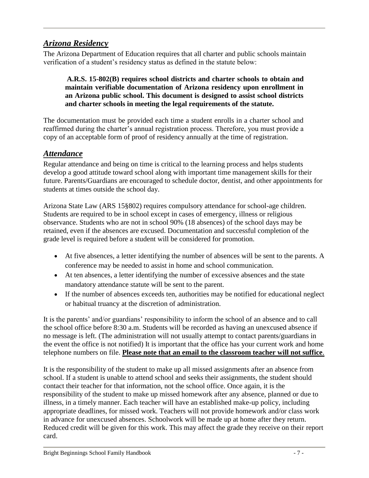### <span id="page-6-0"></span>*Arizona Residency*

The Arizona Department of Education requires that all charter and public schools maintain verification of a student's residency status as defined in the statute below:

#### **A.R.S. 15-802(B) requires school districts and charter schools to obtain and maintain verifiable documentation of Arizona residency upon enrollment in an Arizona public school. This document is designed to assist school districts and charter schools in meeting the legal requirements of the statute.**

The documentation must be provided each time a student enrolls in a charter school and reaffirmed during the charter's annual registration process. Therefore, you must provide a copy of an acceptable form of proof of residency annually at the time of registration.

#### <span id="page-6-1"></span>*Attendance*

Regular attendance and being on time is critical to the learning process and helps students develop a good attitude toward school along with important time management skills for their future. Parents/Guardians are encouraged to schedule doctor, dentist, and other appointments for students at times outside the school day.

Arizona State Law (ARS 15§802) requires compulsory attendance for school-age children. Students are required to be in school except in cases of emergency, illness or religious observance. Students who are not in school 90% (18 absences) of the school days may be retained, even if the absences are excused. Documentation and successful completion of the grade level is required before a student will be considered for promotion.

- At five absences, a letter identifying the number of absences will be sent to the parents. A conference may be needed to assist in home and school communication.
- At ten absences, a letter identifying the number of excessive absences and the state mandatory attendance statute will be sent to the parent.
- If the number of absences exceeds ten, authorities may be notified for educational neglect or habitual truancy at the discretion of administration.

It is the parents' and/or guardians' responsibility to inform the school of an absence and to call the school office before 8:30 a.m. Students will be recorded as having an unexcused absence if no message is left. (The administration will not usually attempt to contact parents/guardians in the event the office is not notified) It is important that the office has your current work and home telephone numbers on file. **Please note that an email to the classroom teacher will not suffice**.

It is the responsibility of the student to make up all missed assignments after an absence from school. If a student is unable to attend school and seeks their assignments, the student should contact their teacher for that information, not the school office. Once again, it is the responsibility of the student to make up missed homework after any absence, planned or due to illness, in a timely manner. Each teacher will have an established make-up policy, including appropriate deadlines, for missed work. Teachers will not provide homework and/or class work in advance for unexcused absences. Schoolwork will be made up at home after they return. Reduced credit will be given for this work. This may affect the grade they receive on their report card.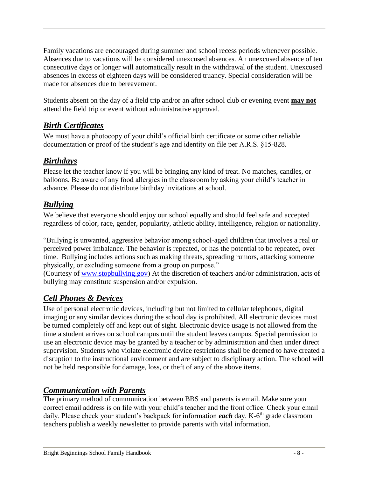Family vacations are encouraged during summer and school recess periods whenever possible. Absences due to vacations will be considered unexcused absences. An unexcused absence of ten consecutive days or longer will automatically result in the withdrawal of the student. Unexcused absences in excess of eighteen days will be considered truancy. Special consideration will be made for absences due to bereavement.

Students absent on the day of a field trip and/or an after school club or evening event **may not** attend the field trip or event without administrative approval.

# <span id="page-7-0"></span>*Birth Certificates*

We must have a photocopy of your child's official birth certificate or some other reliable documentation or proof of the student's age and identity on file per A.R.S. §15-828.

# <span id="page-7-1"></span>*Birthdays*

Please let the teacher know if you will be bringing any kind of treat. No matches, candles, or balloons. Be aware of any food allergies in the classroom by asking your child's teacher in advance. Please do not distribute birthday invitations at school.

# <span id="page-7-2"></span>*Bullying*

We believe that everyone should enjoy our school equally and should feel safe and accepted regardless of color, race, gender, popularity, athletic ability, intelligence, religion or nationality.

"Bullying is unwanted, aggressive behavior among school-aged children that involves a real or perceived power imbalance. The behavior is repeated, or has the potential to be repeated, over time. Bullying includes actions such as making threats, spreading rumors, attacking someone physically, or excluding someone from a group on purpose."

(Courtesy of [www.stopbullying.gov\)](http://www.stopbullying.gov/) At the discretion of teachers and/or administration, acts of bullying may constitute suspension and/or expulsion.

# <span id="page-7-3"></span>*Cell Phones & Devices*

Use of personal electronic devices, including but not limited to cellular telephones, digital imaging or any similar devices during the school day is prohibited. All electronic devices must be turned completely off and kept out of sight. Electronic device usage is not allowed from the time a student arrives on school campus until the student leaves campus. Special permission to use an electronic device may be granted by a teacher or by administration and then under direct supervision. Students who violate electronic device restrictions shall be deemed to have created a disruption to the instructional environment and are subject to disciplinary action. The school will not be held responsible for damage, loss, or theft of any of the above items.

#### <span id="page-7-4"></span>*Communication with Parents*

The primary method of communication between BBS and parents is email. Make sure your correct email address is on file with your child's teacher and the front office. Check your email daily. Please check your student's backpack for information *each* day. K-6<sup>th</sup> grade classroom teachers publish a weekly newsletter to provide parents with vital information.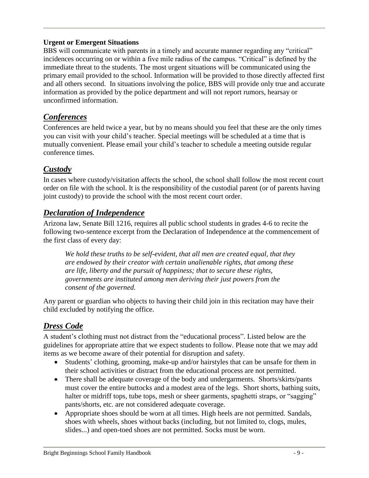#### **Urgent or Emergent Situations**

BBS will communicate with parents in a timely and accurate manner regarding any "critical" incidences occurring on or within a five mile radius of the campus. "Critical" is defined by the immediate threat to the students. The most urgent situations will be communicated using the primary email provided to the school. Information will be provided to those directly affected first and all others second. In situations involving the police, BBS will provide only true and accurate information as provided by the police department and will not report rumors, hearsay or unconfirmed information.

# <span id="page-8-0"></span>*Conferences*

Conferences are held twice a year, but by no means should you feel that these are the only times you can visit with your child's teacher. Special meetings will be scheduled at a time that is mutually convenient. Please email your child's teacher to schedule a meeting outside regular conference times.

# <span id="page-8-1"></span>*Custody*

In cases where custody/visitation affects the school, the school shall follow the most recent court order on file with the school. It is the responsibility of the custodial parent (or of parents having joint custody) to provide the school with the most recent court order.

### <span id="page-8-2"></span>*Declaration of Independence*

Arizona law, Senate Bill 1216, requires all public school students in grades 4-6 to recite the following two-sentence excerpt from the Declaration of Independence at the commencement of the first class of every day:

*We hold these truths to be self-evident, that all men are created equal, that they are endowed by their creator with certain unalienable rights, that among these are life, liberty and the pursuit of happiness; that to secure these rights, governments are instituted among men deriving their just powers from the consent of the governed.*

Any parent or guardian who objects to having their child join in this recitation may have their child excluded by notifying the office.

# <span id="page-8-3"></span>*Dress Code*

A student's clothing must not distract from the "educational process". Listed below are the guidelines for appropriate attire that we expect students to follow. Please note that we may add items as we become aware of their potential for disruption and safety.

- Students' clothing, grooming, make-up and/or hairstyles that can be unsafe for them in their school activities or distract from the educational process are not permitted.
- There shall be adequate coverage of the body and undergarments. Shorts/skirts/pants must cover the entire buttocks and a modest area of the legs. Short shorts, bathing suits, halter or midriff tops, tube tops, mesh or sheer garments, spaghetti straps, or "sagging" pants/shorts, etc. are not considered adequate coverage.
- Appropriate shoes should be worn at all times. High heels are not permitted. Sandals, shoes with wheels, shoes without backs (including, but not limited to, clogs, mules, slides...) and open-toed shoes are not permitted. Socks must be worn.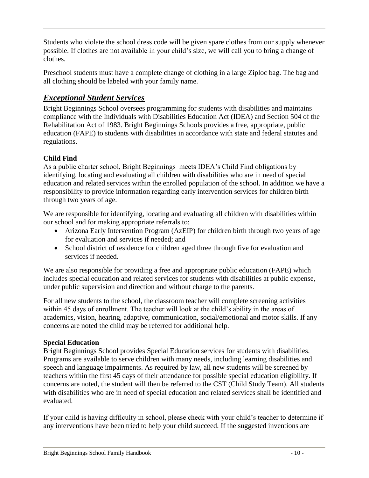Students who violate the school dress code will be given spare clothes from our supply whenever possible. If clothes are not available in your child's size, we will call you to bring a change of clothes.

Preschool students must have a complete change of clothing in a large Ziploc bag. The bag and all clothing should be labeled with your family name.

# <span id="page-9-0"></span>*Exceptional Student Services*

Bright Beginnings School oversees programming for students with disabilities and maintains compliance with the Individuals with Disabilities Education Act (IDEA) and Section 504 of the Rehabilitation Act of 1983. Bright Beginnings Schools provides a free, appropriate, public education (FAPE) to students with disabilities in accordance with state and federal statutes and regulations.

#### **Child Find**

As a public charter school, Bright Beginnings meets IDEA's Child Find obligations by identifying, locating and evaluating all children with disabilities who are in need of special education and related services within the enrolled population of the school. In addition we have a responsibility to provide information regarding early intervention services for children birth through two years of age.

We are responsible for identifying, locating and evaluating all children with disabilities within our school and for making appropriate referrals to:

- Arizona Early Intervention Program (AzEIP) for children birth through two years of age for evaluation and services if needed; and
- School district of residence for children aged three through five for evaluation and services if needed.

We are also responsible for providing a free and appropriate public education (FAPE) which includes special education and related services for students with disabilities at public expense, under public supervision and direction and without charge to the parents.

For all new students to the school, the classroom teacher will complete screening activities within 45 days of enrollment. The teacher will look at the child's ability in the areas of academics, vision, hearing, adaptive, communication, social/emotional and motor skills. If any concerns are noted the child may be referred for additional help.

#### **Special Education**

Bright Beginnings School provides Special Education services for students with disabilities. Programs are available to serve children with many needs, including learning disabilities and speech and language impairments. As required by law, all new students will be screened by teachers within the first 45 days of their attendance for possible special education eligibility. If concerns are noted, the student will then be referred to the CST (Child Study Team). All students with disabilities who are in need of special education and related services shall be identified and evaluated.

If your child is having difficulty in school, please check with your child's teacher to determine if any interventions have been tried to help your child succeed. If the suggested inventions are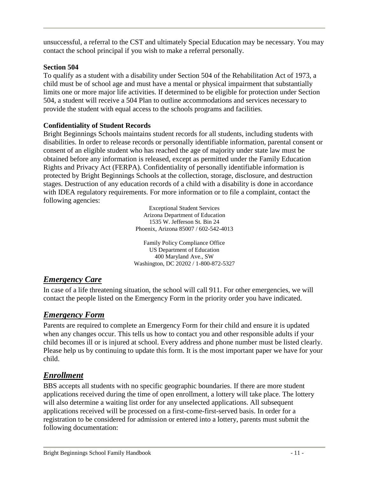unsuccessful, a referral to the CST and ultimately Special Education may be necessary. You may contact the school principal if you wish to make a referral personally.

#### **Section 504**

To qualify as a student with a disability under Section 504 of the Rehabilitation Act of 1973, a child must be of school age and must have a mental or physical impairment that substantially limits one or more major life activities. If determined to be eligible for protection under Section 504, a student will receive a 504 Plan to outline accommodations and services necessary to provide the student with equal access to the schools programs and facilities.

#### **Confidentiality of Student Records**

Bright Beginnings Schools maintains student records for all students, including students with disabilities. In order to release records or personally identifiable information, parental consent or consent of an eligible student who has reached the age of majority under state law must be obtained before any information is released, except as permitted under the Family Education Rights and Privacy Act (FERPA). Confidentiality of personally identifiable information is protected by Bright Beginnings Schools at the collection, storage, disclosure, and destruction stages. Destruction of any education records of a child with a disability is done in accordance with IDEA regulatory requirements. For more information or to file a complaint, contact the following agencies:

> Exceptional Student Services Arizona Department of Education 1535 W. Jefferson St. Bin 24 Phoenix, Arizona 85007 / 602-542-4013

Family Policy Compliance Office US Department of Education 400 Maryland Ave., SW Washington, DC 20202 / 1-800-872-5327

#### <span id="page-10-0"></span>*Emergency Care*

In case of a life threatening situation, the school will call 911. For other emergencies, we will contact the people listed on the Emergency Form in the priority order you have indicated.

# <span id="page-10-1"></span>*Emergency Form*

Parents are required to complete an Emergency Form for their child and ensure it is updated when any changes occur. This tells us how to contact you and other responsible adults if your child becomes ill or is injured at school. Every address and phone number must be listed clearly. Please help us by continuing to update this form. It is the most important paper we have for your child.

# <span id="page-10-2"></span>*Enrollment*

BBS accepts all students with no specific geographic boundaries. If there are more student applications received during the time of open enrollment, a lottery will take place. The lottery will also determine a waiting list order for any unselected applications. All subsequent applications received will be processed on a first-come-first-served basis. In order for a registration to be considered for admission or entered into a lottery, parents must submit the following documentation: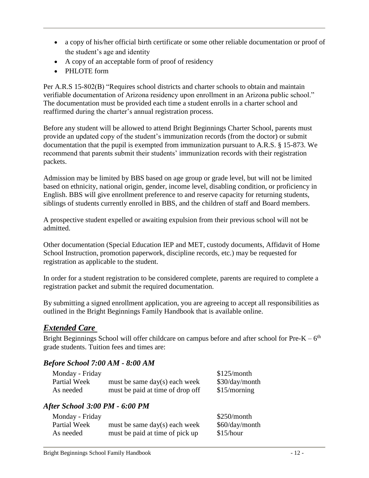- a copy of his/her official birth certificate or some other reliable documentation or proof of the student's age and identity
- A copy of an acceptable form of proof of residency
- PHI OTE form

Per A.R.S 15-802(B) "Requires school districts and charter schools to obtain and maintain verifiable documentation of Arizona residency upon enrollment in an Arizona public school." The documentation must be provided each time a student enrolls in a charter school and reaffirmed during the charter's annual registration process.

Before any student will be allowed to attend Bright Beginnings Charter School, parents must provide an updated copy of the student's immunization records (from the doctor) or submit documentation that the pupil is exempted from immunization pursuant to A.R.S. § 15-873. We recommend that parents submit their students' immunization records with their registration packets.

Admission may be limited by BBS based on age group or grade level, but will not be limited based on ethnicity, national origin, gender, income level, disabling condition, or proficiency in English. BBS will give enrollment preference to and reserve capacity for returning students, siblings of students currently enrolled in BBS, and the children of staff and Board members.

A prospective student expelled or awaiting expulsion from their previous school will not be admitted.

Other documentation (Special Education IEP and MET, custody documents, Affidavit of Home School Instruction, promotion paperwork, discipline records, etc.) may be requested for registration as applicable to the student.

In order for a student registration to be considered complete, parents are required to complete a registration packet and submit the required documentation.

By submitting a signed enrollment application, you are agreeing to accept all responsibilities as outlined in the Bright Beginnings Family Handbook that is available online.

# <span id="page-11-0"></span>*Extended Care*

Bright Beginnings School will offer childcare on campus before and after school for Pre-K –  $6<sup>th</sup>$ grade students. Tuition fees and times are:

#### *Before School 7:00 AM - 8:00 AM*

| Monday - Friday |                                  | \$125/month    |
|-----------------|----------------------------------|----------------|
| Partial Week    | must be same $day(s)$ each week  | \$30/day/month |
| As needed       | must be paid at time of drop off | \$15/morming   |

#### *After School 3:00 PM - 6:00 PM*

| Monday - Friday |                                 | \$250/month    |
|-----------------|---------------------------------|----------------|
| Partial Week    | must be same $day(s)$ each week | \$60/day/month |
| As needed       | must be paid at time of pick up | \$15/hour      |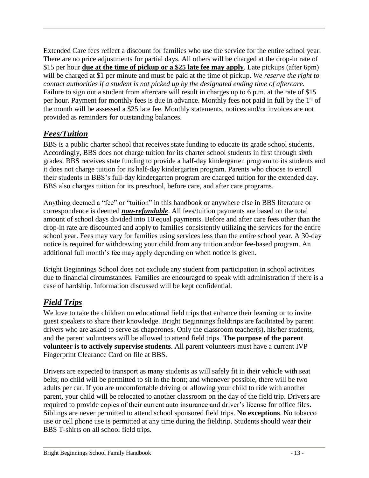Extended Care fees reflect a discount for families who use the service for the entire school year. There are no price adjustments for partial days. All others will be charged at the drop-in rate of \$15 per hour **due at the time of pickup or a \$25 late fee may apply**. Late pickups (after 6pm) will be charged at \$1 per minute and must be paid at the time of pickup. *We reserve the right to contact authorities if a student is not picked up by the designated ending time of aftercare.*  Failure to sign out a student from aftercare will result in charges up to 6 p.m. at the rate of \$15 per hour. Payment for monthly fees is due in advance. Monthly fees not paid in full by the 1<sup>st</sup> of the month will be assessed a \$25 late fee. Monthly statements, notices and/or invoices are not provided as reminders for outstanding balances.

# <span id="page-12-0"></span>*Fees/Tuition*

BBS is a public charter school that receives state funding to educate its grade school students. Accordingly, BBS does not charge tuition for its charter school students in first through sixth grades. BBS receives state funding to provide a half-day kindergarten program to its students and it does not charge tuition for its half-day kindergarten program. Parents who choose to enroll their students in BBS's full-day kindergarten program are charged tuition for the extended day. BBS also charges tuition for its preschool, before care, and after care programs.

Anything deemed a "fee" or "tuition" in this handbook or anywhere else in BBS literature or correspondence is deemed *non-refundable*. All fees/tuition payments are based on the total amount of school days divided into 10 equal payments. Before and after care fees other than the drop-in rate are discounted and apply to families consistently utilizing the services for the entire school year. Fees may vary for families using services less than the entire school year. A 30-day notice is required for withdrawing your child from any tuition and/or fee-based program. An additional full month's fee may apply depending on when notice is given.

Bright Beginnings School does not exclude any student from participation in school activities due to financial circumstances. Families are encouraged to speak with administration if there is a case of hardship. Information discussed will be kept confidential.

# <span id="page-12-1"></span>*Field Trips*

We love to take the children on educational field trips that enhance their learning or to invite guest speakers to share their knowledge. Bright Beginnings fieldtrips are facilitated by parent drivers who are asked to serve as chaperones. Only the classroom teacher(s), his/her students, and the parent volunteers will be allowed to attend field trips. **The purpose of the parent volunteer is to actively supervise students**. All parent volunteers must have a current IVP Fingerprint Clearance Card on file at BBS.

Drivers are expected to transport as many students as will safely fit in their vehicle with seat belts; no child will be permitted to sit in the front; and whenever possible, there will be two adults per car. If you are uncomfortable driving or allowing your child to ride with another parent, your child will be relocated to another classroom on the day of the field trip. Drivers are required to provide copies of their current auto insurance and driver's license for office files. Siblings are never permitted to attend school sponsored field trips. **No exceptions**. No tobacco use or cell phone use is permitted at any time during the fieldtrip. Students should wear their BBS T-shirts on all school field trips.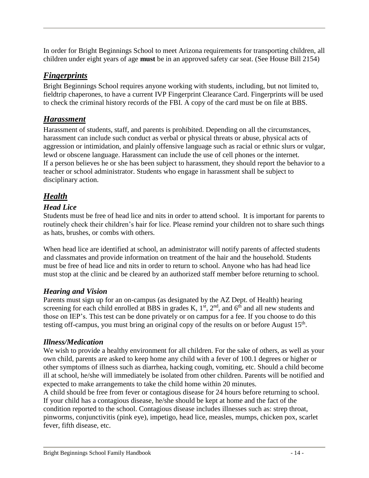In order for Bright Beginnings School to meet Arizona requirements for transporting children, all children under eight years of age **must** be in an approved safety car seat. (See House Bill 2154)

### <span id="page-13-0"></span>*Fingerprints*

Bright Beginnings School requires anyone working with students, including, but not limited to, fieldtrip chaperones, to have a current IVP Fingerprint Clearance Card. Fingerprints will be used to check the criminal history records of the FBI. A copy of the card must be on file at BBS.

### <span id="page-13-1"></span>*Harassment*

Harassment of students, staff, and parents is prohibited. Depending on all the circumstances, harassment can include such conduct as verbal or physical threats or abuse, physical acts of aggression or intimidation, and plainly offensive language such as racial or ethnic slurs or vulgar, lewd or obscene language. Harassment can include the use of cell phones or the internet. If a person believes he or she has been subject to harassment, they should report the behavior to a teacher or school administrator. Students who engage in harassment shall be subject to disciplinary action.

# <span id="page-13-2"></span>*Health*

#### *Head Lice*

Students must be free of head lice and nits in order to attend school. It is important for parents to routinely check their children's hair for lice. Please remind your children not to share such things as hats, brushes, or combs with others.

When head lice are identified at school, an administrator will notify parents of affected students and classmates and provide information on treatment of the hair and the household. Students must be free of head lice and nits in order to return to school. Anyone who has had head lice must stop at the clinic and be cleared by an authorized staff member before returning to school.

#### *Hearing and Vision*

Parents must sign up for an on-campus (as designated by the AZ Dept. of Health) hearing screening for each child enrolled at BBS in grades K,  $1<sup>st</sup>$ ,  $2<sup>nd</sup>$ , and  $6<sup>th</sup>$  and all new students and those on IEP's. This test can be done privately or on campus for a fee. If you choose to do this testing off-campus, you must bring an original copy of the results on or before August  $15<sup>th</sup>$ .

#### *Illness/Medication*

We wish to provide a healthy environment for all children. For the sake of others, as well as your own child, parents are asked to keep home any child with a fever of 100.1 degrees or higher or other symptoms of illness such as diarrhea, hacking cough, vomiting, etc. Should a child become ill at school, he/she will immediately be isolated from other children. Parents will be notified and expected to make arrangements to take the child home within 20 minutes.

A child should be free from fever or contagious disease for 24 hours before returning to school. If your child has a contagious disease, he/she should be kept at home and the fact of the condition reported to the school. Contagious disease includes illnesses such as: strep throat, pinworms, conjunctivitis (pink eye), impetigo, head lice, measles, mumps, chicken pox, scarlet fever, fifth disease, etc.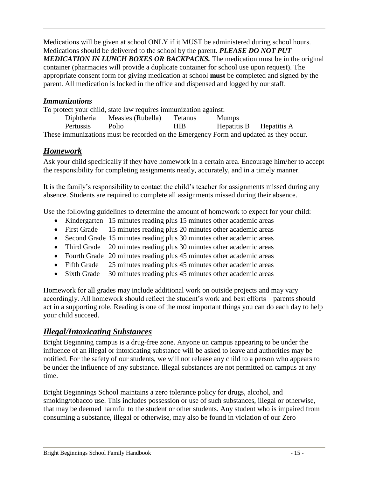Medications will be given at school ONLY if it MUST be administered during school hours. Medications should be delivered to the school by the parent. *PLEASE DO NOT PUT MEDICATION IN LUNCH BOXES OR BACKPACKS.* The medication must be in the original container (pharmacies will provide a duplicate container for school use upon request). The appropriate consent form for giving medication at school **must** be completed and signed by the parent. All medication is locked in the office and dispensed and logged by our staff.

#### *Immunizations*

To protect your child, state law requires immunization against: Diphtheria Measles (Rubella) Tetanus Mumps Pertussis Polio HIB Hepatitis B Hepatitis A These immunizations must be recorded on the Emergency Form and updated as they occur.

# <span id="page-14-0"></span>*Homework*

Ask your child specifically if they have homework in a certain area. Encourage him/her to accept the responsibility for completing assignments neatly, accurately, and in a timely manner.

It is the family's responsibility to contact the child's teacher for assignments missed during any absence. Students are required to complete all assignments missed during their absence.

Use the following guidelines to determine the amount of homework to expect for your child:

- Kindergarten 15 minutes reading plus 15 minutes other academic areas
- First Grade 15 minutes reading plus 20 minutes other academic areas
- Second Grade 15 minutes reading plus 30 minutes other academic areas
- Third Grade 20 minutes reading plus 30 minutes other academic areas
- Fourth Grade 20 minutes reading plus 45 minutes other academic areas
- Fifth Grade 25 minutes reading plus 45 minutes other academic areas
- Sixth Grade 30 minutes reading plus 45 minutes other academic areas

Homework for all grades may include additional work on outside projects and may vary accordingly. All homework should reflect the student's work and best efforts – parents should act in a supporting role. Reading is one of the most important things you can do each day to help your child succeed.

#### <span id="page-14-1"></span>*Illegal/Intoxicating Substances*

Bright Beginning campus is a drug-free zone. Anyone on campus appearing to be under the influence of an illegal or intoxicating substance will be asked to leave and authorities may be notified. For the safety of our students, we will not release any child to a person who appears to be under the influence of any substance. Illegal substances are not permitted on campus at any time.

Bright Beginnings School maintains a zero tolerance policy for drugs, alcohol, and smoking/tobacco use. This includes possession or use of such substances, illegal or otherwise, that may be deemed harmful to the student or other students. Any student who is impaired from consuming a substance, illegal or otherwise, may also be found in violation of our Zero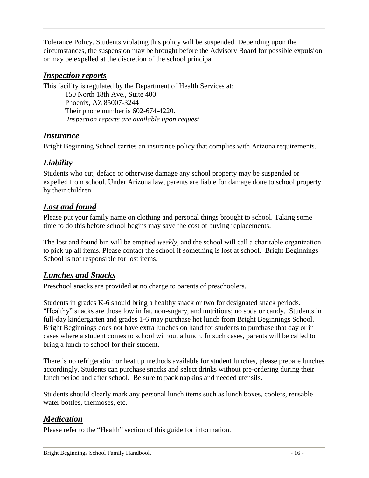Tolerance Policy. Students violating this policy will be suspended. Depending upon the circumstances, the suspension may be brought before the Advisory Board for possible expulsion or may be expelled at the discretion of the school principal.

#### <span id="page-15-0"></span>*Inspection reports*

This facility is regulated by the Department of Health Services at:

150 North 18th Ave., Suite 400 Phoenix, AZ 85007-3244 Their phone number is 602-674-4220. *Inspection reports are available upon request*.

# <span id="page-15-1"></span>*Insurance*

Bright Beginning School carries an insurance policy that complies with Arizona requirements.

# <span id="page-15-2"></span>*Liability*

Students who cut, deface or otherwise damage any school property may be suspended or expelled from school. Under Arizona law, parents are liable for damage done to school property by their children.

# <span id="page-15-3"></span>*Lost and found*

Please put your family name on clothing and personal things brought to school. Taking some time to do this before school begins may save the cost of buying replacements.

The lost and found bin will be emptied *weekly*, and the school will call a charitable organization to pick up all items. Please contact the school if something is lost at school. Bright Beginnings School is not responsible for lost items.

# <span id="page-15-4"></span>*Lunches and Snacks*

Preschool snacks are provided at no charge to parents of preschoolers.

Students in grades K-6 should bring a healthy snack or two for designated snack periods. "Healthy" snacks are those low in fat, non-sugary, and nutritious; no soda or candy. Students in full-day kindergarten and grades 1-6 may purchase hot lunch from Bright Beginnings School. Bright Beginnings does not have extra lunches on hand for students to purchase that day or in cases where a student comes to school without a lunch. In such cases, parents will be called to bring a lunch to school for their student.

There is no refrigeration or heat up methods available for student lunches, please prepare lunches accordingly. Students can purchase snacks and select drinks without pre-ordering during their lunch period and after school. Be sure to pack napkins and needed utensils.

Students should clearly mark any personal lunch items such as lunch boxes, coolers, reusable water bottles, thermoses, etc.

# <span id="page-15-5"></span>*Medication*

Please refer to the "Health" section of this guide for information.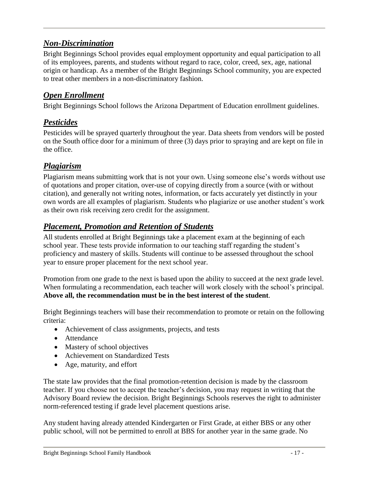# <span id="page-16-0"></span>*Non-Discrimination*

Bright Beginnings School provides equal employment opportunity and equal participation to all of its employees, parents, and students without regard to race, color, creed, sex, age, national origin or handicap. As a member of the Bright Beginnings School community, you are expected to treat other members in a non-discriminatory fashion.

# <span id="page-16-1"></span>*Open Enrollment*

Bright Beginnings School follows the Arizona Department of Education enrollment guidelines.

# <span id="page-16-2"></span>*Pesticides*

Pesticides will be sprayed quarterly throughout the year. Data sheets from vendors will be posted on the South office door for a minimum of three (3) days prior to spraying and are kept on file in the office.

# <span id="page-16-3"></span>*Plagiarism*

Plagiarism means submitting work that is not your own. Using someone else's words without use of quotations and proper citation, over-use of copying directly from a source (with or without citation), and generally not writing notes, information, or facts accurately yet distinctly in your own words are all examples of plagiarism. Students who plagiarize or use another student's work as their own risk receiving zero credit for the assignment.

# <span id="page-16-4"></span>*Placement, Promotion and Retention of Students*

All students enrolled at Bright Beginnings take a placement exam at the beginning of each school year. These tests provide information to our teaching staff regarding the student's proficiency and mastery of skills. Students will continue to be assessed throughout the school year to ensure proper placement for the next school year.

Promotion from one grade to the next is based upon the ability to succeed at the next grade level. When formulating a recommendation, each teacher will work closely with the school's principal. **Above all, the recommendation must be in the best interest of the student**.

Bright Beginnings teachers will base their recommendation to promote or retain on the following criteria:

- Achievement of class assignments, projects, and tests
- Attendance
- Mastery of school objectives
- Achievement on Standardized Tests
- Age, maturity, and effort

The state law provides that the final promotion-retention decision is made by the classroom teacher. If you choose not to accept the teacher's decision, you may request in writing that the Advisory Board review the decision. Bright Beginnings Schools reserves the right to administer norm-referenced testing if grade level placement questions arise.

Any student having already attended Kindergarten or First Grade, at either BBS or any other public school, will not be permitted to enroll at BBS for another year in the same grade. No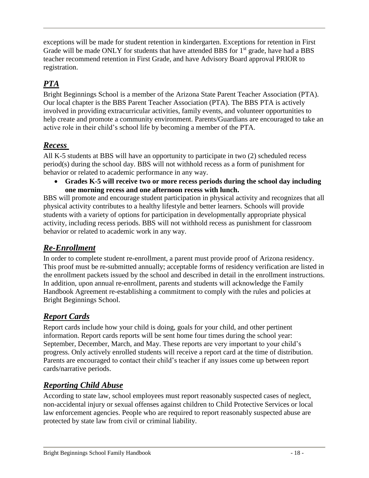exceptions will be made for student retention in kindergarten. Exceptions for retention in First Grade will be made ONLY for students that have attended BBS for  $1<sup>st</sup>$  grade, have had a BBS teacher recommend retention in First Grade, and have Advisory Board approval PRIOR to registration.

# <span id="page-17-0"></span>*PTA*

Bright Beginnings School is a member of the Arizona State Parent Teacher Association (PTA). Our local chapter is the BBS Parent Teacher Association (PTA). The BBS PTA is actively involved in providing extracurricular activities, family events, and volunteer opportunities to help create and promote a community environment. Parents/Guardians are encouraged to take an active role in their child's school life by becoming a member of the PTA.

# <span id="page-17-1"></span>*Recess*

All K-5 students at BBS will have an opportunity to participate in two (2) scheduled recess period(s) during the school day. BBS will not withhold recess as a form of punishment for behavior or related to academic performance in any way.

 **Grades K-5 will receive two or more recess periods during the school day including one morning recess and one afternoon recess with lunch.**

BBS will promote and encourage student participation in physical activity and recognizes that all physical activity contributes to a healthy lifestyle and better learners. Schools will provide students with a variety of options for participation in developmentally appropriate physical activity, including recess periods. BBS will not withhold recess as punishment for classroom behavior or related to academic work in any way.

# <span id="page-17-2"></span>*Re-Enrollment*

In order to complete student re-enrollment, a parent must provide proof of Arizona residency. This proof must be re-submitted annually; acceptable forms of residency verification are listed in the enrollment packets issued by the school and described in detail in the enrollment instructions. In addition, upon annual re-enrollment, parents and students will acknowledge the Family Handbook Agreement re-establishing a commitment to comply with the rules and policies at Bright Beginnings School.

# <span id="page-17-3"></span>*Report Cards*

Report cards include how your child is doing, goals for your child, and other pertinent information. Report cards reports will be sent home four times during the school year: September, December, March, and May. These reports are very important to your child's progress. Only actively enrolled students will receive a report card at the time of distribution. Parents are encouraged to contact their child's teacher if any issues come up between report cards/narrative periods.

# <span id="page-17-4"></span>*Reporting Child Abuse*

According to state law, school employees must report reasonably suspected cases of neglect, non-accidental injury or sexual offenses against children to Child Protective Services or local law enforcement agencies. People who are required to report reasonably suspected abuse are protected by state law from civil or criminal liability.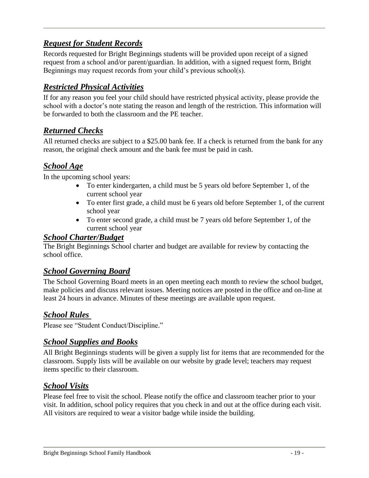# <span id="page-18-0"></span>*Request for Student Records*

Records requested for Bright Beginnings students will be provided upon receipt of a signed request from a school and/or parent/guardian. In addition, with a signed request form, Bright Beginnings may request records from your child's previous school(s).

# <span id="page-18-1"></span>*Restricted Physical Activities*

If for any reason you feel your child should have restricted physical activity, please provide the school with a doctor's note stating the reason and length of the restriction. This information will be forwarded to both the classroom and the PE teacher.

### <span id="page-18-2"></span>*Returned Checks*

All returned checks are subject to a \$25.00 bank fee. If a check is returned from the bank for any reason, the original check amount and the bank fee must be paid in cash.

# <span id="page-18-3"></span>*School Age*

In the upcoming school years:

- To enter kindergarten, a child must be 5 years old before September 1, of the current school year
- To enter first grade, a child must be 6 years old before September 1, of the current school year
- To enter second grade, a child must be 7 years old before September 1, of the current school year

#### *School Charter/Budget*

The Bright Beginnings School charter and budget are available for review by contacting the school office.

#### <span id="page-18-4"></span>*School Governing Board*

The School Governing Board meets in an open meeting each month to review the school budget, make policies and discuss relevant issues. Meeting notices are posted in the office and on-line at least 24 hours in advance. Minutes of these meetings are available upon request.

# <span id="page-18-5"></span>*School Rules*

Please see "Student Conduct/Discipline."

#### <span id="page-18-6"></span>*School Supplies and Books*

All Bright Beginnings students will be given a supply list for items that are recommended for the classroom. Supply lists will be available on our website by grade level; teachers may request items specific to their classroom.

#### <span id="page-18-7"></span>*School Visits*

Please feel free to visit the school. Please notify the office and classroom teacher prior to your visit. In addition, school policy requires that you check in and out at the office during each visit. All visitors are required to wear a visitor badge while inside the building.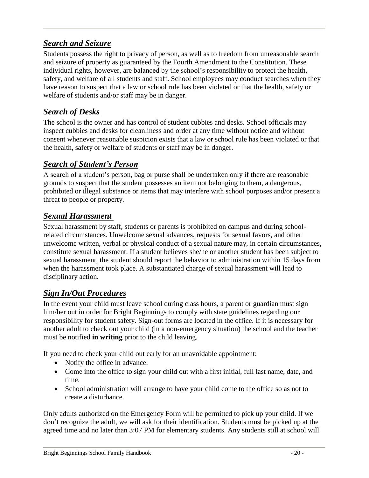# <span id="page-19-0"></span>*Search and Seizure*

Students possess the right to privacy of person, as well as to freedom from unreasonable search and seizure of property as guaranteed by the Fourth Amendment to the Constitution. These individual rights, however, are balanced by the school's responsibility to protect the health, safety, and welfare of all students and staff. School employees may conduct searches when they have reason to suspect that a law or school rule has been violated or that the health, safety or welfare of students and/or staff may be in danger.

# <span id="page-19-1"></span>*Search of Desks*

The school is the owner and has control of student cubbies and desks. School officials may inspect cubbies and desks for cleanliness and order at any time without notice and without consent whenever reasonable suspicion exists that a law or school rule has been violated or that the health, safety or welfare of students or staff may be in danger.

# <span id="page-19-2"></span>*Search of Student's Person*

A search of a student's person, bag or purse shall be undertaken only if there are reasonable grounds to suspect that the student possesses an item not belonging to them, a dangerous, prohibited or illegal substance or items that may interfere with school purposes and/or present a threat to people or property.

# <span id="page-19-3"></span>*Sexual Harassment*

Sexual harassment by staff, students or parents is prohibited on campus and during schoolrelated circumstances. Unwelcome sexual advances, requests for sexual favors, and other unwelcome written, verbal or physical conduct of a sexual nature may, in certain circumstances, constitute sexual harassment. If a student believes she/he or another student has been subject to sexual harassment, the student should report the behavior to administration within 15 days from when the harassment took place. A substantiated charge of sexual harassment will lead to disciplinary action.

# <span id="page-19-4"></span>*Sign In/Out Procedures*

In the event your child must leave school during class hours, a parent or guardian must sign him/her out in order for Bright Beginnings to comply with state guidelines regarding our responsibility for student safety. Sign-out forms are located in the office. If it is necessary for another adult to check out your child (in a non-emergency situation) the school and the teacher must be notified **in writing** prior to the child leaving.

If you need to check your child out early for an unavoidable appointment:

- Notify the office in advance.
- Come into the office to sign your child out with a first initial, full last name, date, and time.
- School administration will arrange to have your child come to the office so as not to create a disturbance.

Only adults authorized on the Emergency Form will be permitted to pick up your child. If we don't recognize the adult, we will ask for their identification. Students must be picked up at the agreed time and no later than 3:07 PM for elementary students. Any students still at school will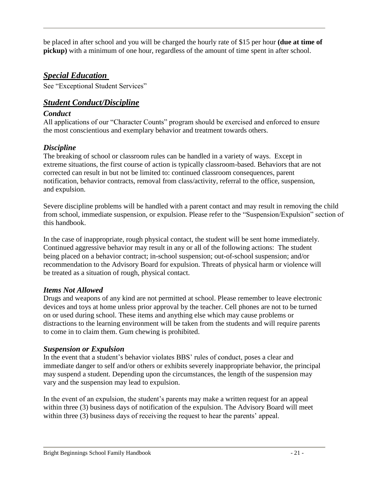be placed in after school and you will be charged the hourly rate of \$15 per hour **(due at time of pickup)** with a minimum of one hour, regardless of the amount of time spent in after school.

### <span id="page-20-0"></span>*Special Education*

See "Exceptional Student Services"

#### <span id="page-20-1"></span>*Student Conduct/Discipline*

#### *Conduct*

All applications of our "Character Counts" program should be exercised and enforced to ensure the most conscientious and exemplary behavior and treatment towards others.

#### *Discipline*

The breaking of school or classroom rules can be handled in a variety of ways. Except in extreme situations, the first course of action is typically classroom-based. Behaviors that are not corrected can result in but not be limited to: continued classroom consequences, parent notification, behavior contracts, removal from class/activity, referral to the office, suspension, and expulsion.

Severe discipline problems will be handled with a parent contact and may result in removing the child from school, immediate suspension, or expulsion. Please refer to the "Suspension/Expulsion" section of this handbook.

In the case of inappropriate, rough physical contact, the student will be sent home immediately. Continued aggressive behavior may result in any or all of the following actions: The student being placed on a behavior contract; in-school suspension; out-of-school suspension; and/or recommendation to the Advisory Board for expulsion. Threats of physical harm or violence will be treated as a situation of rough, physical contact.

#### *Items Not Allowed*

Drugs and weapons of any kind are not permitted at school. Please remember to leave electronic devices and toys at home unless prior approval by the teacher. Cell phones are not to be turned on or used during school. These items and anything else which may cause problems or distractions to the learning environment will be taken from the students and will require parents to come in to claim them. Gum chewing is prohibited.

#### *Suspension or Expulsion*

In the event that a student's behavior violates BBS' rules of conduct, poses a clear and immediate danger to self and/or others or exhibits severely inappropriate behavior, the principal may suspend a student. Depending upon the circumstances, the length of the suspension may vary and the suspension may lead to expulsion.

In the event of an expulsion, the student's parents may make a written request for an appeal within three (3) business days of notification of the expulsion. The Advisory Board will meet within three (3) business days of receiving the request to hear the parents' appeal.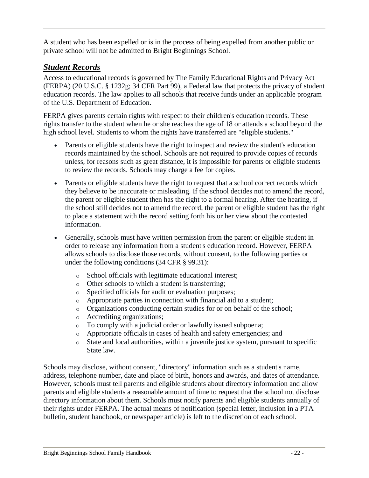A student who has been expelled or is in the process of being expelled from another public or private school will not be admitted to Bright Beginnings School.

# <span id="page-21-0"></span>*Student Records*

Access to educational records is governed by The Family Educational Rights and Privacy Act (FERPA) (20 U.S.C. § 1232g; 34 CFR Part 99), a Federal law that protects the privacy of student education records. The law applies to all schools that receive funds under an applicable program of the U.S. Department of Education.

FERPA gives parents certain rights with respect to their children's education records. These rights transfer to the student when he or she reaches the age of 18 or attends a school beyond the high school level. Students to whom the rights have transferred are "eligible students."

- Parents or eligible students have the right to inspect and review the student's education records maintained by the school. Schools are not required to provide copies of records unless, for reasons such as great distance, it is impossible for parents or eligible students to review the records. Schools may charge a fee for copies.
- Parents or eligible students have the right to request that a school correct records which they believe to be inaccurate or misleading. If the school decides not to amend the record, the parent or eligible student then has the right to a formal hearing. After the hearing, if the school still decides not to amend the record, the parent or eligible student has the right to place a statement with the record setting forth his or her view about the contested information.
- Generally, schools must have written permission from the parent or eligible student in order to release any information from a student's education record. However, FERPA allows schools to disclose those records, without consent, to the following parties or under the following conditions (34 CFR § 99.31):
	- o School officials with legitimate educational interest;
	- o Other schools to which a student is transferring;
	- o Specified officials for audit or evaluation purposes;
	- o Appropriate parties in connection with financial aid to a student;
	- o Organizations conducting certain studies for or on behalf of the school;
	- o Accrediting organizations;
	- o To comply with a judicial order or lawfully issued subpoena;
	- o Appropriate officials in cases of health and safety emergencies; and
	- o State and local authorities, within a juvenile justice system, pursuant to specific State law.

Schools may disclose, without consent, "directory" information such as a student's name, address, telephone number, date and place of birth, honors and awards, and dates of attendance. However, schools must tell parents and eligible students about directory information and allow parents and eligible students a reasonable amount of time to request that the school not disclose directory information about them. Schools must notify parents and eligible students annually of their rights under FERPA. The actual means of notification (special letter, inclusion in a PTA bulletin, student handbook, or newspaper article) is left to the discretion of each school.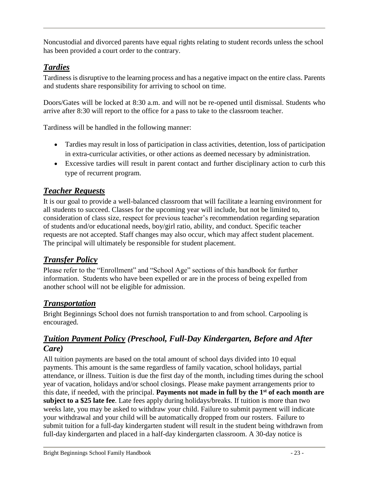Noncustodial and divorced parents have equal rights relating to student records unless the school has been provided a court order to the contrary.

# <span id="page-22-0"></span>*Tardies*

Tardiness is disruptive to the learning process and has a negative impact on the entire class. Parents and students share responsibility for arriving to school on time.

Doors/Gates will be locked at 8:30 a.m. and will not be re-opened until dismissal. Students who arrive after 8:30 will report to the office for a pass to take to the classroom teacher.

Tardiness will be handled in the following manner:

- Tardies may result in loss of participation in class activities, detention, loss of participation in extra-curricular activities, or other actions as deemed necessary by administration.
- Excessive tardies will result in parent contact and further disciplinary action to curb this type of recurrent program.

# <span id="page-22-1"></span>*Teacher Requests*

It is our goal to provide a well-balanced classroom that will facilitate a learning environment for all students to succeed. Classes for the upcoming year will include, but not be limited to, consideration of class size, respect for previous teacher's recommendation regarding separation of students and/or educational needs, boy/girl ratio, ability, and conduct. Specific teacher requests are not accepted. Staff changes may also occur, which may affect student placement. The principal will ultimately be responsible for student placement.

# <span id="page-22-2"></span>*Transfer Policy*

Please refer to the "Enrollment" and "School Age" sections of this handbook for further information. Students who have been expelled or are in the process of being expelled from another school will not be eligible for admission.

# <span id="page-22-3"></span>*Transportation*

Bright Beginnings School does not furnish transportation to and from school. Carpooling is encouraged.

# <span id="page-22-4"></span>*Tuition Payment Policy (Preschool, Full-Day Kindergarten, Before and After Care)*

All tuition payments are based on the total amount of school days divided into 10 equal payments. This amount is the same regardless of family vacation, school holidays, partial attendance, or illness. Tuition is due the first day of the month, including times during the school year of vacation, holidays and/or school closings. Please make payment arrangements prior to this date, if needed, with the principal. **Payments not made in full by the 1 st of each month are subject to a \$25 late fee**. Late fees apply during holidays/breaks. If tuition is more than two weeks late, you may be asked to withdraw your child. Failure to submit payment will indicate your withdrawal and your child will be automatically dropped from our rosters. Failure to submit tuition for a full-day kindergarten student will result in the student being withdrawn from full-day kindergarten and placed in a half-day kindergarten classroom. A 30-day notice is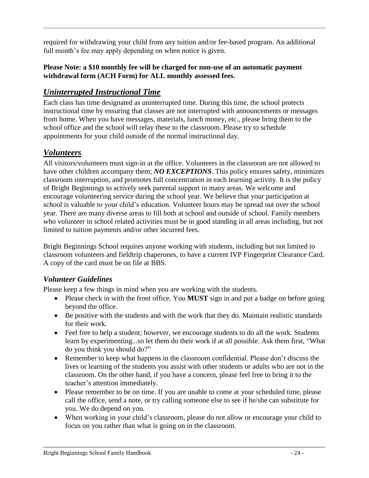required for withdrawing your child from any tuition and/or fee-based program. An additional full month's fee may apply depending on when notice is given.

#### **Please Note: a \$10 monthly fee will be charged for non-use of an automatic payment withdrawal form (ACH Form) for ALL monthly assessed fees.**

# <span id="page-23-0"></span>*Uninterrupted Instructional Time*

Each class has time designated as uninterrupted time. During this time, the school protects instructional time by ensuring that classes are not interrupted with announcements or messages from home. When you have messages, materials, lunch money, etc., please bring them to the school office and the school will relay these to the classroom. Please try to schedule appointments for your child outside of the normal instructional day.

# <span id="page-23-1"></span>*Volunteers*

All visitors/volunteers must sign-in at the office. Volunteers in the classroom are not allowed to have other children accompany them; *NO EXCEPTIONS*. This policy ensures safety, minimizes classroom interruption, and promotes full concentration in each learning activity. It is the policy of Bright Beginnings to actively seek parental support in many areas. We welcome and encourage volunteering service during the school year. We believe that your participation at school is valuable to your child's education. Volunteer hours may be spread out over the school year. There are many diverse areas to fill both at school and outside of school. Family members who volunteer in school related activities must be in good standing in all areas including, but not limited to tuition payments and/or other incurred fees.

Bright Beginnings School requires anyone working with students, including but not limited to classroom volunteers and fieldtrip chaperones, to have a current IVP Fingerprint Clearance Card. A copy of the card must be on file at BBS.

#### *Volunteer Guidelines*

Please keep a few things in mind when you are working with the students.

- Please check in with the front office. You **MUST** sign in and put a badge on before going beyond the office.
- Be positive with the students and with the work that they do. Maintain realistic standards for their work.
- Feel free to help a student; however, we encourage students to do all the work. Students learn by experimenting...so let them do their work if at all possible. Ask them first, "What do you think you should do?"
- Remember to keep what happens in the classroom confidential. Please don't discuss the lives or learning of the students you assist with other students or adults who are not in the classroom. On the other hand, if you have a concern, please feel free to bring it to the teacher's attention immediately.
- Please remember to be on time. If you are unable to come at your scheduled time, please call the office, send a note, or try calling someone else to see if he/she can substitute for you. We do depend on you.
- When working in your child's classroom, please do not allow or encourage your child to focus on you rather than what is going on in the classroom.